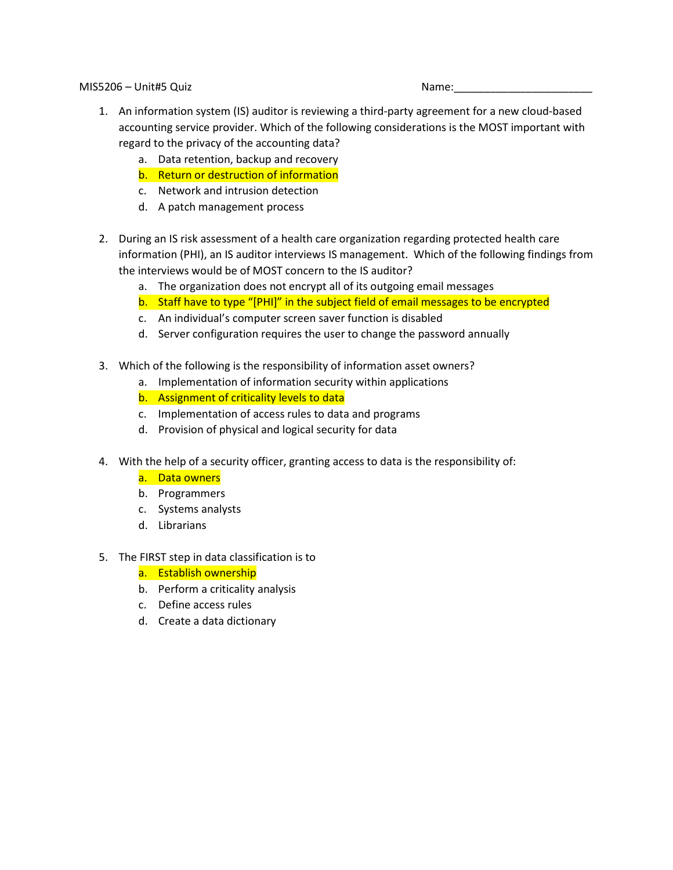MIS5206 – Unit#5 Quiz Name:

- 1. An information system (IS) auditor is reviewing a third-party agreement for a new cloud-based accounting service provider. Which of the following considerations is the MOST important with regard to the privacy of the accounting data?
	- a. Data retention, backup and recovery
	- b. Return or destruction of information
	- c. Network and intrusion detection
	- d. A patch management process
- 2. During an IS risk assessment of a health care organization regarding protected health care information (PHI), an IS auditor interviews IS management. Which of the following findings from the interviews would be of MOST concern to the IS auditor?
	- a. The organization does not encrypt all of its outgoing email messages
	- b. Staff have to type "[PHI]" in the subject field of email messages to be encrypted
	- c. An individual's computer screen saver function is disabled
	- d. Server configuration requires the user to change the password annually
- 3. Which of the following is the responsibility of information asset owners?
	- a. Implementation of information security within applications
	- b. Assignment of criticality levels to data
	- c. Implementation of access rules to data and programs
	- d. Provision of physical and logical security for data
- 4. With the help of a security officer, granting access to data is the responsibility of:
	- a. Data owners
	- b. Programmers
	- c. Systems analysts
	- d. Librarians
- 5. The FIRST step in data classification is to
	- a. Establish ownership
	- b. Perform a criticality analysis
	- c. Define access rules
	- d. Create a data dictionary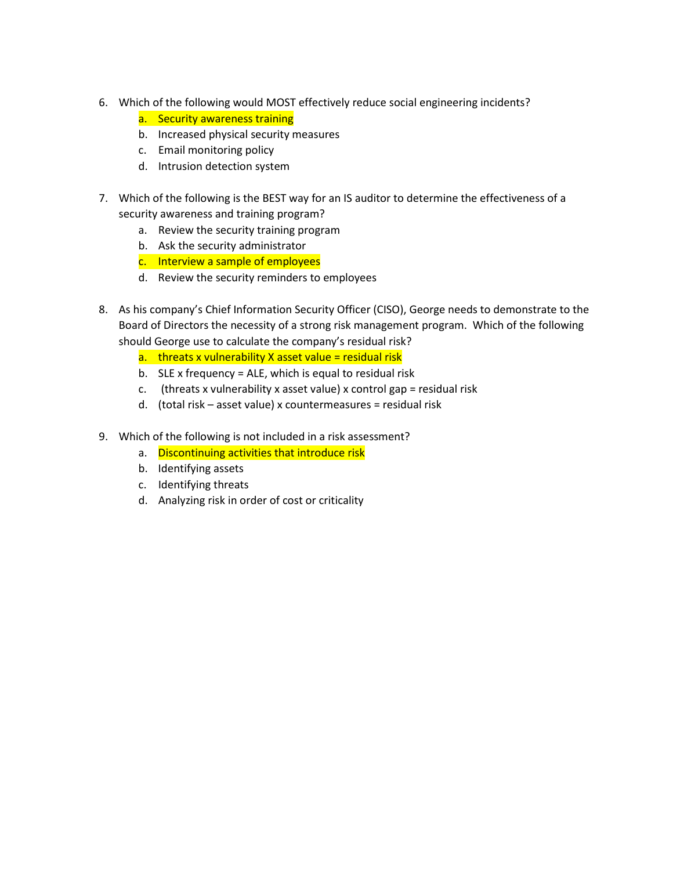- 6. Which of the following would MOST effectively reduce social engineering incidents?
	- a. Security awareness training
	- b. Increased physical security measures
	- c. Email monitoring policy
	- d. Intrusion detection system
- 7. Which of the following is the BEST way for an IS auditor to determine the effectiveness of a security awareness and training program?
	- a. Review the security training program
	- b. Ask the security administrator
	- c. Interview a sample of employees
	- d. Review the security reminders to employees
- 8. As his company's Chief Information Security Officer (CISO), George needs to demonstrate to the Board of Directors the necessity of a strong risk management program. Which of the following should George use to calculate the company's residual risk?
	- a. threats x vulnerability X asset value = residual risk
	- b. SLE x frequency = ALE, which is equal to residual risk
	- c. (threats x vulnerability x asset value) x control gap = residual risk
	- d. (total risk asset value) x countermeasures = residual risk
- 9. Which of the following is not included in a risk assessment?
	- a. Discontinuing activities that introduce risk
	- b. Identifying assets
	- c. Identifying threats
	- d. Analyzing risk in order of cost or criticality